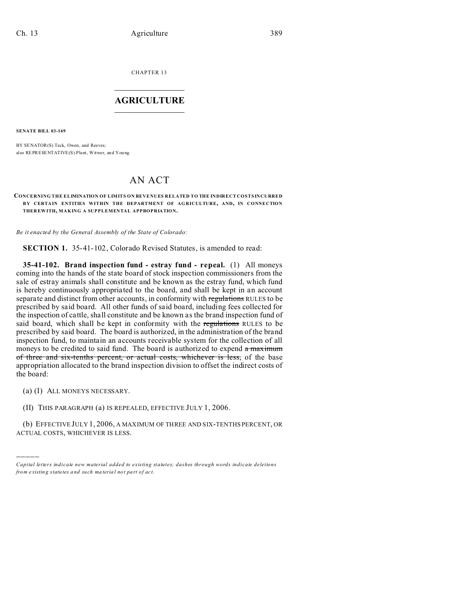CHAPTER 13  $\overline{\phantom{a}}$  , where  $\overline{\phantom{a}}$ 

### **AGRICULTURE**  $\_$   $\_$   $\_$   $\_$   $\_$   $\_$   $\_$   $\_$

**SENATE BILL 03-169**

BY SENATOR(S) Teck, Owen, and Reeves; also REPRESENTATIVE(S) Plant, Witwer, and You ng.

# AN ACT

#### **CONCERNING THE ELIMINATION OF LIMITS ON REVENUES RELATED TO THE INDIRECT COSTS INCURRED B Y CERTAIN ENTITIES WITHIN THE DEPARTMENT OF AG RICULTURE, AND, IN CONNECTION THER EWITH, MAKING A SUPPLEMENTAL APPROPRIATION.**

*Be it enacted by the General Assembly of the State of Colorado:*

**SECTION 1.** 35-41-102, Colorado Revised Statutes, is amended to read:

**35-41-102. Brand inspection fund - estray fund - repeal.** (1) All moneys coming into the hands of the state board of stock inspection commissioners from the sale of estray animals shall constitute and be known as the estray fund, which fund is hereby continuously appropriated to the board, and shall be kept in an account separate and distinct from other accounts, in conformity with regulations RULES to be prescribed by said board. All other funds of said board, including fees collected for the inspection of cattle, shall constitute and be known as the brand inspection fund of said board, which shall be kept in conformity with the regulations RULES to be prescribed by said board. The board is authorized, in the administration of the brand inspection fund, to maintain an accounts receivable system for the collection of all moneys to be credited to said fund. The board is authorized to expend a maximum of three and six-tenths percent, or actual costs, whichever is less, of the base appropriation allocated to the brand inspection division to offset the indirect costs of the board:

(a) (I) ALL MONEYS NECESSARY.

)))))

(II) THIS PARAGRAPH (a) IS REPEALED, EFFECTIVE JULY 1, 2006.

(b) EFFECTIVE JULY 1, 2006, A MAXIMUM OF THREE AND SIX-TENTHS PERCENT, OR ACTUAL COSTS, WHICHEVER IS LESS.

*Capital letters indicate new material added to existing statutes; dashes through words indicate deletions from e xistin g statu tes a nd such ma teria l no t pa rt of ac t.*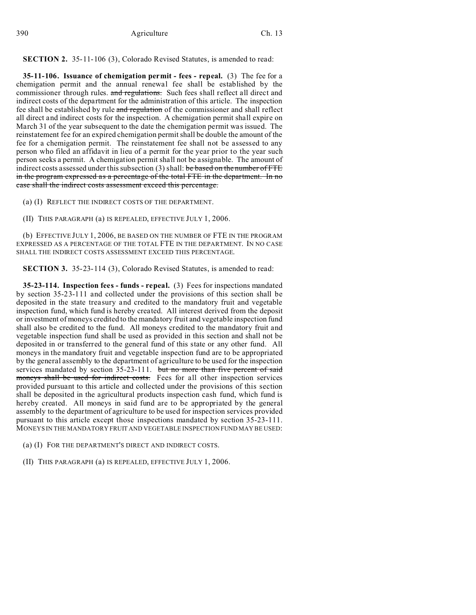## **SECTION 2.** 35-11-106 (3), Colorado Revised Statutes, is amended to read:

**35-11-106. Issuance of chemigation permit - fees - repeal.** (3) The fee for a chemigation permit and the annual renewal fee shall be established by the commissioner through rules. and regulations. Such fees shall reflect all direct and indirect costs of the department for the administration of this article. The inspection fee shall be established by rule and regulation of the commissioner and shall reflect all direct and indirect costs for the inspection. A chemigation permit shall expire on March 31 of the year subsequent to the date the chemigation permit was issued. The reinstatement fee for an expired chemigation permit shall be double the amount of the fee for a chemigation permit. The reinstatement fee shall not be assessed to any person who filed an affidavit in lieu of a permit for the year prior to the year such person seeks a permit. A chemigation permit shall not be assignable. The amount of indirect costs assessed under this subsection  $(3)$  shall: be based on the number of FTE in the program expressed as a percentage of the total FTE in the department. In no case shall the indirect costs assessment exceed this percentage.

(a) (I) REFLECT THE INDIRECT COSTS OF THE DEPARTMENT.

(II) THIS PARAGRAPH (a) IS REPEALED, EFFECTIVE JULY 1, 2006.

(b) EFFECTIVE JULY 1, 2006, BE BASED ON THE NUMBER OF FTE IN THE PROGRAM EXPRESSED AS A PERCENTAGE OF THE TOTAL FTE IN THE DEPARTMENT. IN NO CASE SHALL THE INDIRECT COSTS ASSESSMENT EXCEED THIS PERCENTAGE.

**SECTION 3.** 35-23-114 (3), Colorado Revised Statutes, is amended to read:

**35-23-114. Inspection fees - funds - repeal.** (3) Fees for inspections mandated by section 35-23-111 and collected under the provisions of this section shall be deposited in the state treasury and credited to the mandatory fruit and vegetable inspection fund, which fund is hereby created. All interest derived from the deposit or investment of moneys credited to the mandatory fruit and vegetable inspection fund shall also be credited to the fund. All moneys credited to the mandatory fruit and vegetable inspection fund shall be used as provided in this section and shall not be deposited in or transferred to the general fund of this state or any other fund. All moneys in the mandatory fruit and vegetable inspection fund are to be appropriated by the general assembly to the department of agriculture to be used for the inspection services mandated by section 35-23-111. but no more than five percent of said moneys shall be used for indirect costs. Fees for all other inspection services provided pursuant to this article and collected under the provisions of this section shall be deposited in the agricultural products inspection cash fund, which fund is hereby created. All moneys in said fund are to be appropriated by the general assembly to the department of agriculture to be used for inspection services provided pursuant to this article except those inspections mandated by section 35-23-111. MONEYS IN THE MANDATORY FRUIT AND VEGETABLE INSPECTION FUND MAY BE USED:

(a) (I) FOR THE DEPARTMENT'S DIRECT AND INDIRECT COSTS.

(II) THIS PARAGRAPH (a) IS REPEALED, EFFECTIVE JULY 1, 2006.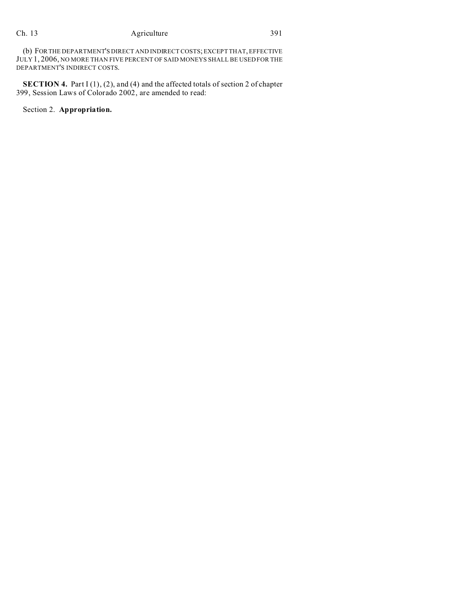(b) FORTHE DEPARTMENT'S DIRECT AND INDIRECT COSTS; EXCEPT THAT, EFFECTIVE JULY 1, 2006, NO MORE THAN FIVE PERCENT OF SAID MONEYS SHALL BE USED FOR THE DEPARTMENT'S INDIRECT COSTS.

**SECTION 4.** Part I (1), (2), and (4) and the affected totals of section 2 of chapter 399, Session Laws of Colorado 2002, are amended to read:

Section 2. **Appropriation.**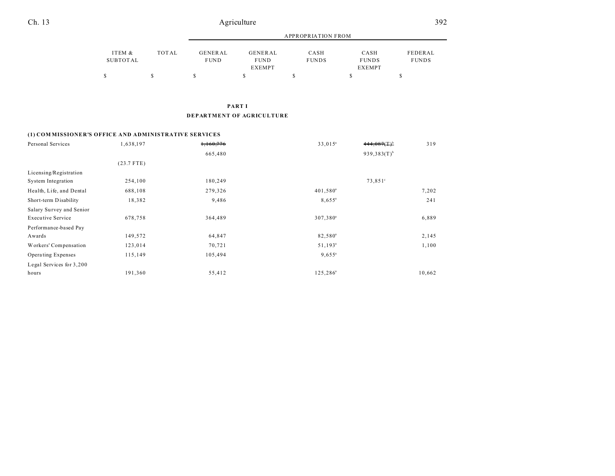|          |       |             |                              | APPROPRIATION FROM |                        |              |  |  |  |
|----------|-------|-------------|------------------------------|--------------------|------------------------|--------------|--|--|--|
| ITEM &   | TOTAL | GENERAL     | GENERAL                      | CASH               | CASH                   | FEDERAL      |  |  |  |
| SUBTOTAL |       | <b>FUND</b> | <b>FUND</b><br><b>EXEMPT</b> | <b>FUNDS</b>       | <b>FUNDS</b><br>EXEMPT | <b>FUNDS</b> |  |  |  |
|          | S     |             |                              |                    |                        |              |  |  |  |

**PART I**

#### **DEPARTMENT OF AGRICULTURE**

## **(1) COM MISSIONER'S OFFICE AND ADMINISTRATIVE SERVICES**

| Personal Services        | 1,638,197    | 1,160,776 | $33,015^a$           | $444.087(T)^b$   | 319    |
|--------------------------|--------------|-----------|----------------------|------------------|--------|
|                          |              | 665,480   |                      | $939,383(T)^{b}$ |        |
|                          | $(23.7$ FTE) |           |                      |                  |        |
| Licensing/Registration   |              |           |                      |                  |        |
| System Integration       | 254,100      | 180,249   |                      | $73,851^\circ$   |        |
| Health, Life, and Dental | 688,108      | 279,326   | 401,580 <sup>a</sup> |                  | 7,202  |
| Short-term Disability    | 18,382       | 9,486     | $8,655^{\circ}$      |                  | 241    |
| Salary Survey and Senior |              |           |                      |                  |        |
| <b>Executive Service</b> | 678,758      | 364,489   | 307,380 <sup>a</sup> |                  | 6,889  |
| Performance-based Pay    |              |           |                      |                  |        |
| Awards                   | 149,572      | 64,847    | 82,580 <sup>a</sup>  |                  | 2,145  |
| Workers' Compensation    | 123,014      | 70,721    | $51,193^{\circ}$     |                  | 1,100  |
| Operating Expenses       | 115,149      | 105,494   | $9,655^{\circ}$      |                  |        |
| Legal Services for 3,200 |              |           |                      |                  |        |
| hours                    | 191,360      | 55,412    | 125,286 <sup>ª</sup> |                  | 10,662 |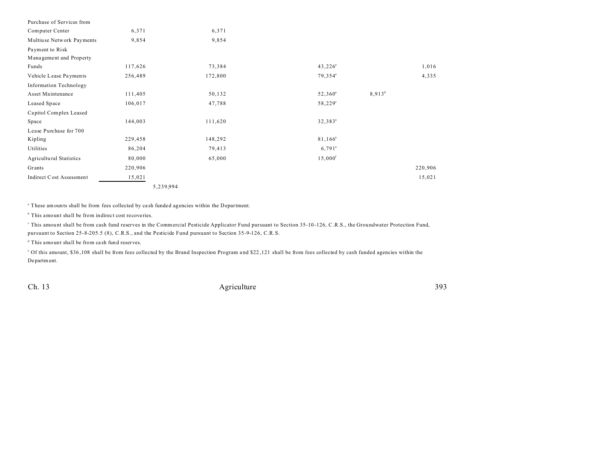| Purchase of Services from      |           |         |                       |           |         |
|--------------------------------|-----------|---------|-----------------------|-----------|---------|
| Computer Center                | 6,371     | 6,371   |                       |           |         |
| Multiuse Network Payments      | 9,854     | 9,854   |                       |           |         |
| Payment to Risk                |           |         |                       |           |         |
| Management and Property        |           |         |                       |           |         |
| Funds                          | 117,626   | 73,384  | $43,226^{\circ}$      |           | 1,016   |
| Vehicle Lease Payments         | 256,489   | 172,800 | 79,354 <sup>a</sup>   |           | 4,335   |
| <b>Information Technology</b>  |           |         |                       |           |         |
| Asset Maintenance              | 111,405   | 50,132  | 52,360 <sup>a</sup>   | $8,913^d$ |         |
| Leased Space                   | 106,017   | 47,788  | $58,229^{\circ}$      |           |         |
| Capitol Complex Leased         |           |         |                       |           |         |
| Space                          | 144,003   | 111,620 | 32,383 <sup>ª</sup>   |           |         |
| Lease Purchase for 700         |           |         |                       |           |         |
| Kipling                        | 229,458   | 148,292 | $81,166^a$            |           |         |
| Utilities                      | 86,204    | 79,413  | $6,791$ <sup>a</sup>  |           |         |
| <b>Agricultural Statistics</b> | 80,000    | 65,000  | $15,000$ <sup>f</sup> |           |         |
| Grants                         | 220,906   |         |                       |           | 220,906 |
| Indirect Cost Assessment       | 15,021    |         |                       |           | 15,021  |
|                                | 5,239,994 |         |                       |           |         |

a These amounts shall be from fees collected by ca sh funded agencies within the Department.

<sup>b</sup> This amount shall be from indirect cost recoveries.

This amount shall be from cash fund reserves in the Commercial Pesticide Applicator Fund pursuant to Section 35-10-126, C.R.S., the Groundwater Protection Fund, pursuant to Section 25-8-205.5 (8), C.R.S., and the Pesticide Fund pursuant to Section 35-9-126, C.R.S.

d This amount shall be from ca sh fund reserves.

<sup>o</sup> Of this amount, \$36,108 shall be from fees collected by the Brand Inspection Program and \$22,121 shall be from fees collected by cash funded agencies within the Department.

Ch. 13 **Agriculture** 393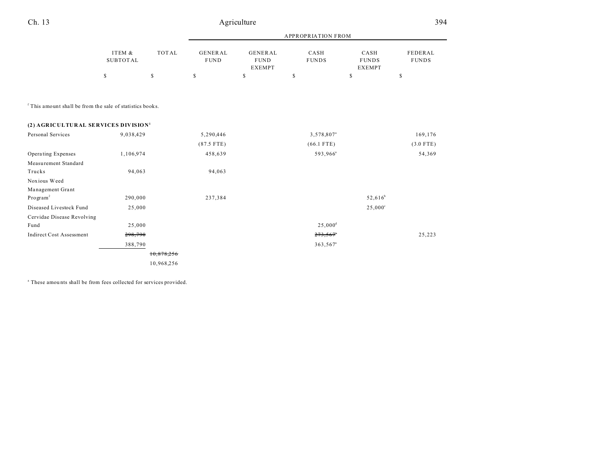|                                                                      |                           |              | <b>APPROPRIATION FROM</b>     |                                                |                        |                                       |                         |
|----------------------------------------------------------------------|---------------------------|--------------|-------------------------------|------------------------------------------------|------------------------|---------------------------------------|-------------------------|
|                                                                      | ITEM &<br><b>SUBTOTAL</b> | <b>TOTAL</b> | <b>GENERAL</b><br><b>FUND</b> | <b>GENERAL</b><br><b>FUND</b><br><b>EXEMPT</b> | CASH<br><b>FUNDS</b>   | CASH<br><b>FUNDS</b><br><b>EXEMPT</b> | FEDERAL<br><b>FUNDS</b> |
|                                                                      | \$                        | \$           | \$                            | $\mathbb S$                                    | \$                     | \$                                    | \$                      |
|                                                                      |                           |              |                               |                                                |                        |                                       |                         |
| <sup>f</sup> This amount shall be from the sale of statistics books. |                           |              |                               |                                                |                        |                                       |                         |
| (2) AGRICULTURAL SERVICES DIVISION <sup>1</sup>                      |                           |              |                               |                                                |                        |                                       |                         |
| Personal Services                                                    | 9,038,429                 |              | 5,290,446                     |                                                | 3,578,807 <sup>a</sup> |                                       | 169,176                 |
|                                                                      |                           |              | $(87.5$ FTE)                  |                                                | $(66.1$ FTE)           |                                       | $(3.0$ FTE)             |
| Operating Expenses                                                   | 1,106,974                 |              | 458,639                       |                                                | 593,966 <sup>ª</sup>   |                                       | 54,369                  |
| Measurement Standard                                                 |                           |              |                               |                                                |                        |                                       |                         |
| Trucks                                                               | 94,063                    |              | 94,063                        |                                                |                        |                                       |                         |
| Noxious Weed                                                         |                           |              |                               |                                                |                        |                                       |                         |
| Management Grant                                                     |                           |              |                               |                                                |                        |                                       |                         |
| Program <sup>2</sup>                                                 | 290,000                   |              | 237,384                       |                                                |                        | $52,616^b$                            |                         |
| Diseased Livestock Fund                                              | 25,000                    |              |                               |                                                |                        | $25,000^{\circ}$                      |                         |
| Cervidae Disease Revolving                                           |                           |              |                               |                                                |                        |                                       |                         |
| Fund                                                                 | 25,000                    |              |                               |                                                | $25,000^{\rm d}$       |                                       |                         |
| <b>Indirect Cost Assessment</b>                                      | 298,790                   |              |                               |                                                | 273,567                |                                       | 25,223                  |
|                                                                      | 388,790                   |              |                               |                                                | 363,567 <sup>a</sup>   |                                       |                         |
|                                                                      |                           | 10,878,256   |                               |                                                |                        |                                       |                         |
|                                                                      |                           | 10,968,256   |                               |                                                |                        |                                       |                         |

<sup>a</sup> These amounts shall be from fees collected for services provided.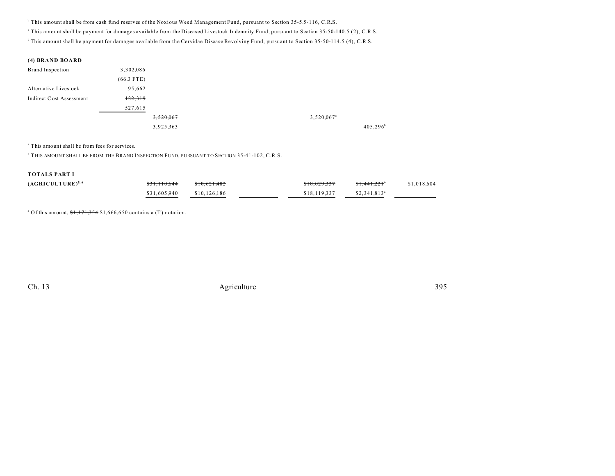b This amount shall be from cash fund reserves of the Noxious Weed Management Fund, pursuant to Section 35-5.5-116, C.R.S.

This amount shall be payment for damages available from the Diseased Livestock Indemnity Fund, pursuant to Section 35-50-140.5 (2), C.R.S.

<sup>d</sup> This amount shall be payment for damages available from the Cervidae Disease Revolving Fund, pursuant to Section 35-50-114.5 (4), C.R.S.

| <b>Brand Inspection</b>  | 3,302,086    |           |                        |
|--------------------------|--------------|-----------|------------------------|
|                          | $(66.3$ FTE) |           |                        |
| Alternative Livestock    | 95,662       |           |                        |
| Indirect Cost Assessment | 122,319      |           |                        |
|                          | 527,615      |           |                        |
|                          |              | 3,520,067 | 3,520,067 <sup>a</sup> |
|                          |              | 3,925,363 | $405,296^b$            |

a This amount shall be from fees for services.

 $^{\rm b}$  THIS AMOUNT SHALL BE FROM THE BRAND INSPECTION FUND, PURSUANT TO SECTION 35-41-102, C.R.S.

#### **TOTALS PART I**

| $(AGRICULTURE)^{5,6}$ | \$31,110,644 | \$10,621,482 | <del>\$18,029,337</del> | <del>\$1.441.221</del> "  | \$1,018,604 |
|-----------------------|--------------|--------------|-------------------------|---------------------------|-------------|
|                       | \$31,605,940 | \$10,126,186 | \$18,119,337            | $$2,341.813$ <sup>a</sup> |             |

<sup>a</sup> Of this amount,  $1,171,354$  \$1,666,650 contains a (T) notation.

Ch. 13 **Agriculture** 395